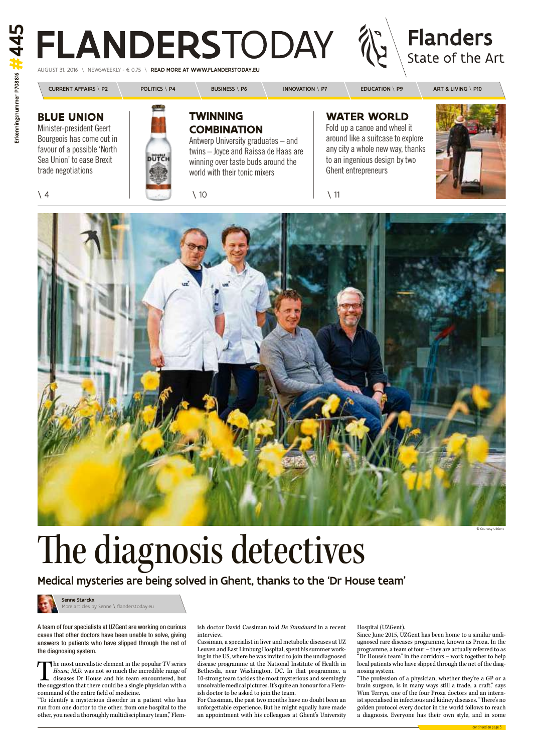**Flanders** State of the Art

 $a \in 0.75$  \ READ MORE AT WWW.FLANDERSTODAY.EU

CURRENT AFFAIRS \ P2 POLITICS \ P4 BUSINESS \ P6 | INNOVATION \ P7 | EDUCATION \ P9 | ART & LIVING \ P10 **Blue union Twinning waTer world** Minister-president Geert Fold up a canoe and wheel it **comBinaTion** around like a suitcase to explore Bourgeois has come out in Antwerp University graduates – and anycity a whole new way, thanks favour of a possible 'North' twins – Joyce and Raissa de Haas are pütc to an ingenious design by two Sea Union' to ease Brexit winning over taste buds around the trade negotiations Ghent entrepreneurs world with their tonic mixers  $\setminus$  4  $\setminus$  10  $\setminus$  11

A team of four specialists at UZGent are working on curious cases that other doctors have been unable to solve, giving answers to patients who have slipped through the net of the diagnosing system.

The most unrealistic element in the popular TV series<br> *House, M.D.* was not so much the incredible range of<br>
diseases Dr House and his team encountered, but<br>
the suggestion that there could be a single physician with a The most unrealistic element in the popular TV series House, M.D. was not so much the incredible range of diseases Dr House and his team encountered, but command of the entire field of medicine.

"To identify a mysterious disorder in a patient who has run from one doctor to the other, from one hospital to the other, you need a thoroughly multidisciplinary team," Flem-

For Cassiman, the past two months have no doubt been an unforgettable experience. But he might equally have made an appointment with his colleagues at Ghent's University

ish doctor David Cassiman told De Standaard in a recent interview.

Cassiman, a specialist in liver and metabolic diseases at UZ Leuven and East Limburg Hospital, spent his summer working in the US, where he wasinvited to join the undiagnosed disease programme at the National Institute of Health in Bethesda, near Washington, DC. In that programme, a 10-strong team tackles the most mysterious and seemingly unsolvable medical pictures. It's quite an honour for a Flemish doctor to be asked to join the team.

# Hospital (UZGent).

Since June 2015, UZGent has been home to a similar undiagnosed rare diseases programme, known as Proza. In the programme, a team of four – they are actually referred to as "Dr House's team" in the corridors – work together to help local patients who have slipped through the net of the diagnosing system.

"The profession of a physician, whether they're a GP or a brain surgeon, is in many ways still a trade, a craft," says Wim Terryn, one of the four Proza doctors and an internist specialised in infectious and kidney diseases. "There's no golden protocol every doctor in the world follows to reach a diagnosis. Everyone has their own style, and in some

# The diagnosis detectives

Medical mysteries are being solved in Ghent, thanks to the 'Dr House team'

# © Courtesy uZgent